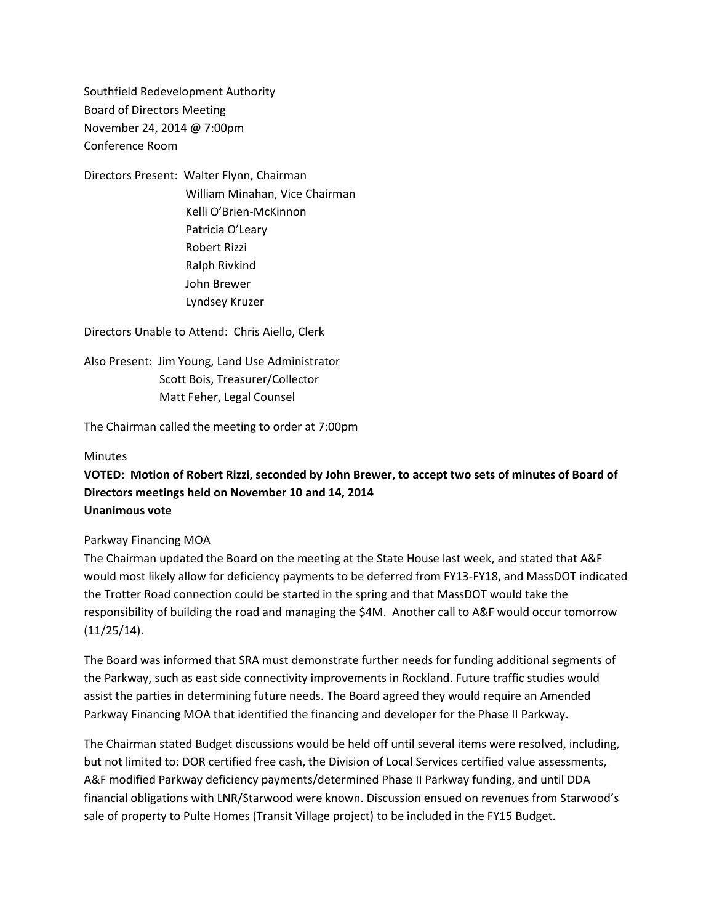Southfield Redevelopment Authority Board of Directors Meeting November 24, 2014 @ 7:00pm Conference Room

Directors Present: Walter Flynn, Chairman William Minahan, Vice Chairman Kelli O'Brien-McKinnon Patricia O'Leary Robert Rizzi Ralph Rivkind John Brewer Lyndsey Kruzer

Directors Unable to Attend: Chris Aiello, Clerk

Also Present: Jim Young, Land Use Administrator Scott Bois, Treasurer/Collector Matt Feher, Legal Counsel

The Chairman called the meeting to order at 7:00pm

#### Minutes

**VOTED: Motion of Robert Rizzi, seconded by John Brewer, to accept two sets of minutes of Board of Directors meetings held on November 10 and 14, 2014 Unanimous vote**

#### Parkway Financing MOA

The Chairman updated the Board on the meeting at the State House last week, and stated that A&F would most likely allow for deficiency payments to be deferred from FY13-FY18, and MassDOT indicated the Trotter Road connection could be started in the spring and that MassDOT would take the responsibility of building the road and managing the \$4M. Another call to A&F would occur tomorrow (11/25/14).

The Board was informed that SRA must demonstrate further needs for funding additional segments of the Parkway, such as east side connectivity improvements in Rockland. Future traffic studies would assist the parties in determining future needs. The Board agreed they would require an Amended Parkway Financing MOA that identified the financing and developer for the Phase II Parkway.

The Chairman stated Budget discussions would be held off until several items were resolved, including, but not limited to: DOR certified free cash, the Division of Local Services certified value assessments, A&F modified Parkway deficiency payments/determined Phase II Parkway funding, and until DDA financial obligations with LNR/Starwood were known. Discussion ensued on revenues from Starwood's sale of property to Pulte Homes (Transit Village project) to be included in the FY15 Budget.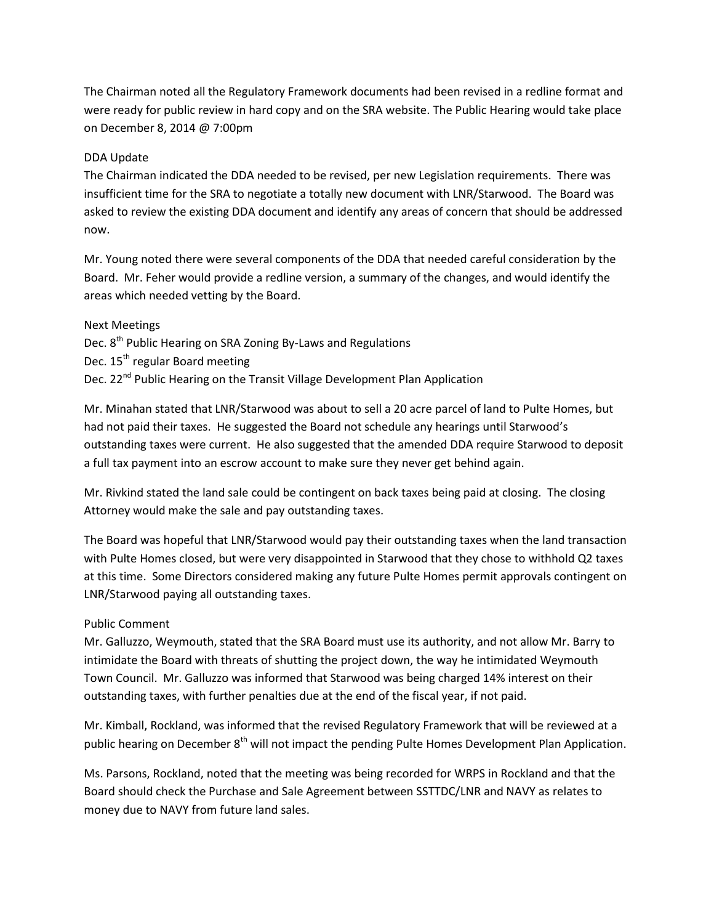The Chairman noted all the Regulatory Framework documents had been revised in a redline format and were ready for public review in hard copy and on the SRA website. The Public Hearing would take place on December 8, 2014 @ 7:00pm

## DDA Update

The Chairman indicated the DDA needed to be revised, per new Legislation requirements. There was insufficient time for the SRA to negotiate a totally new document with LNR/Starwood. The Board was asked to review the existing DDA document and identify any areas of concern that should be addressed now.

Mr. Young noted there were several components of the DDA that needed careful consideration by the Board. Mr. Feher would provide a redline version, a summary of the changes, and would identify the areas which needed vetting by the Board.

## Next Meetings

Dec. 8<sup>th</sup> Public Hearing on SRA Zoning By-Laws and Regulations

Dec. 15<sup>th</sup> regular Board meeting

Dec. 22<sup>nd</sup> Public Hearing on the Transit Village Development Plan Application

Mr. Minahan stated that LNR/Starwood was about to sell a 20 acre parcel of land to Pulte Homes, but had not paid their taxes. He suggested the Board not schedule any hearings until Starwood's outstanding taxes were current. He also suggested that the amended DDA require Starwood to deposit a full tax payment into an escrow account to make sure they never get behind again.

Mr. Rivkind stated the land sale could be contingent on back taxes being paid at closing. The closing Attorney would make the sale and pay outstanding taxes.

The Board was hopeful that LNR/Starwood would pay their outstanding taxes when the land transaction with Pulte Homes closed, but were very disappointed in Starwood that they chose to withhold Q2 taxes at this time. Some Directors considered making any future Pulte Homes permit approvals contingent on LNR/Starwood paying all outstanding taxes.

# Public Comment

Mr. Galluzzo, Weymouth, stated that the SRA Board must use its authority, and not allow Mr. Barry to intimidate the Board with threats of shutting the project down, the way he intimidated Weymouth Town Council. Mr. Galluzzo was informed that Starwood was being charged 14% interest on their outstanding taxes, with further penalties due at the end of the fiscal year, if not paid.

Mr. Kimball, Rockland, was informed that the revised Regulatory Framework that will be reviewed at a public hearing on December 8<sup>th</sup> will not impact the pending Pulte Homes Development Plan Application.

Ms. Parsons, Rockland, noted that the meeting was being recorded for WRPS in Rockland and that the Board should check the Purchase and Sale Agreement between SSTTDC/LNR and NAVY as relates to money due to NAVY from future land sales.